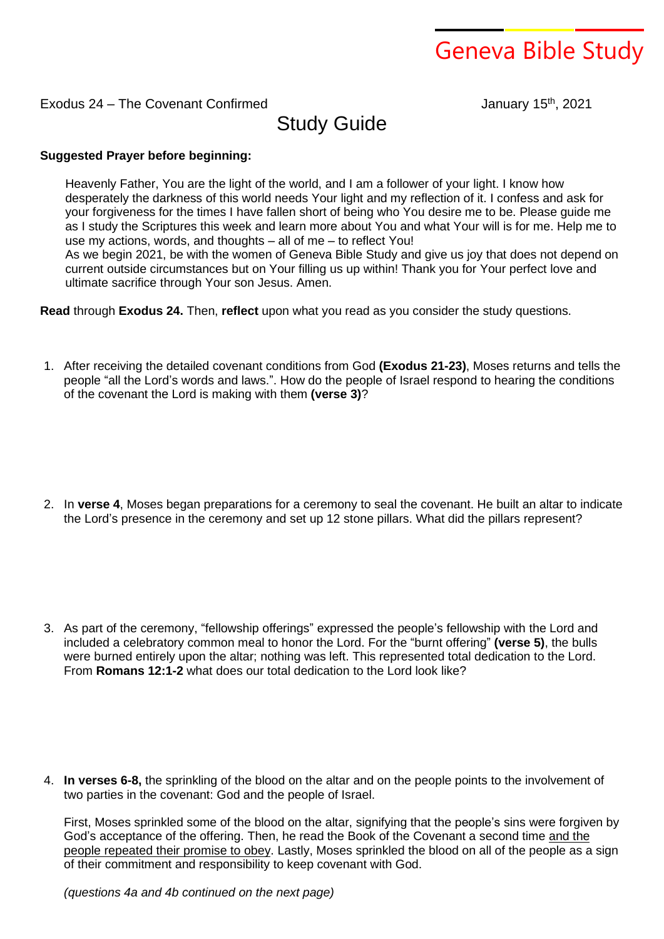## Geneva Bible Study

## Exodus 24 – The Covenant Confirmed

th , 2021

Study Guide

## **Suggested Prayer before beginning:**

Heavenly Father, You are the light of the world, and I am a follower of your light. I know how desperately the darkness of this world needs Your light and my reflection of it. I confess and ask for your forgiveness for the times I have fallen short of being who You desire me to be. Please guide me as I study the Scriptures this week and learn more about You and what Your will is for me. Help me to use my actions, words, and thoughts – all of me – to reflect You! As we begin 2021, be with the women of Geneva Bible Study and give us joy that does not depend on current outside circumstances but on Your filling us up within! Thank you for Your perfect love and ultimate sacrifice through Your son Jesus. Amen.

**Read** through **Exodus 24.** Then, **reflect** upon what you read as you consider the study questions.

1. After receiving the detailed covenant conditions from God **(Exodus 21-23)**, Moses returns and tells the people "all the Lord's words and laws.". How do the people of Israel respond to hearing the conditions of the covenant the Lord is making with them **(verse 3)**?

2. In **verse 4**, Moses began preparations for a ceremony to seal the covenant. He built an altar to indicate the Lord's presence in the ceremony and set up 12 stone pillars. What did the pillars represent?

3. As part of the ceremony, "fellowship offerings" expressed the people's fellowship with the Lord and included a celebratory common meal to honor the Lord. For the "burnt offering" **(verse 5)**, the bulls were burned entirely upon the altar; nothing was left. This represented total dedication to the Lord. From **Romans 12:1-2** what does our total dedication to the Lord look like?

4. **In verses 6-8,** the sprinkling of the blood on the altar and on the people points to the involvement of two parties in the covenant: God and the people of Israel.

First, Moses sprinkled some of the blood on the altar, signifying that the people's sins were forgiven by God's acceptance of the offering. Then, he read the Book of the Covenant a second time and the people repeated their promise to obey. Lastly, Moses sprinkled the blood on all of the people as a sign of their commitment and responsibility to keep covenant with God.

*(questions 4a and 4b continued on the next page)*